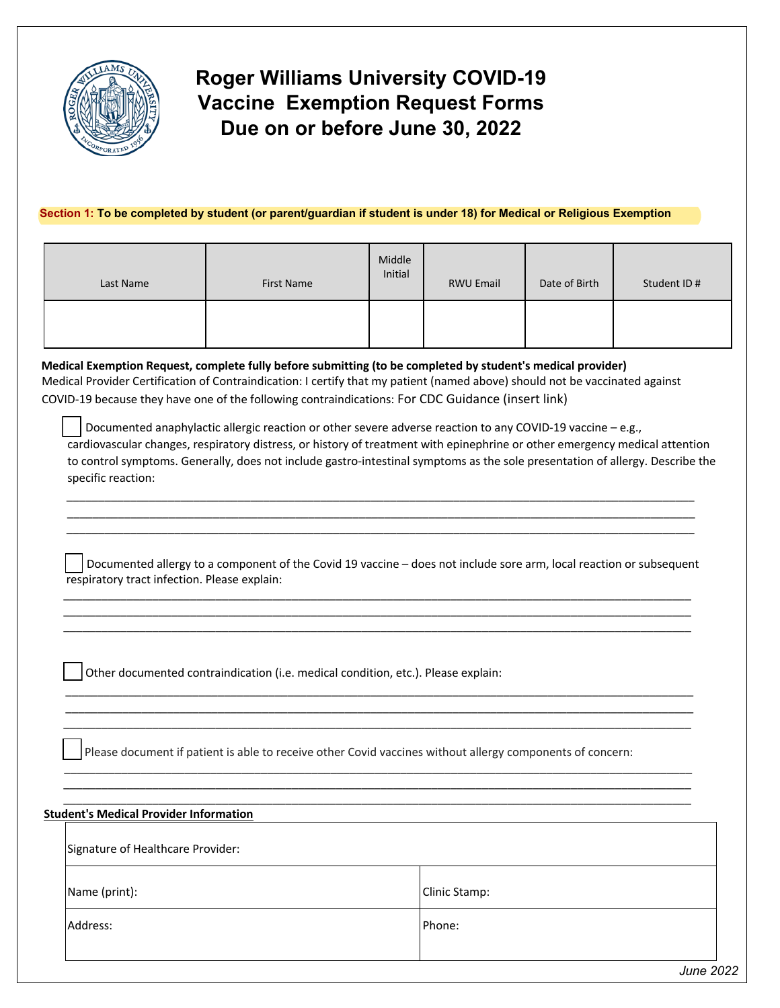

## **Roger Williams University COVID-19 Vaccine Exemption Request Forms Due on or before June 30, 2022**

## **Section 1: To be completed by student (or parent/guardian if student is under 18) for Medical or Religious Exemption**

| Last Name | First Name | Middle<br>Initial | <b>RWU Email</b> | Date of Birth | Student ID # |
|-----------|------------|-------------------|------------------|---------------|--------------|
|           |            |                   |                  |               |              |

**Medical Exemption Request, complete fully before submitting (to be completed by student's medical provider)** Medical Provider Certification of Contraindication: I certify that my patient (named above) should not be vaccinated against

COVID-19 because they have one of the following contraindications: For CDC Guidance (insert link)

Documented anaphylactic allergic reaction or other severe adverse reaction to any COVID-19 vaccine – e.g., cardiovascular changes, respiratory distress, or history of treatment with epinephrine or other emergency medical attention to control symptoms. Generally, does not include gastro-intestinal symptoms as the sole presentation of allergy. Describe the specific reaction:

Documented allergy to a component of the Covid 19 vaccine – does not include sore arm, local reaction or subsequent respiratory tract infection. Please explain:

\_\_\_\_\_\_\_\_\_\_\_\_\_\_\_\_\_\_\_\_\_\_\_\_\_\_\_\_\_\_\_\_\_\_\_\_\_\_\_\_\_\_\_\_\_\_\_\_\_\_\_\_\_\_\_\_\_\_\_\_\_\_\_\_\_\_\_\_\_\_\_\_\_\_\_\_\_\_\_\_\_\_\_\_\_\_\_\_\_\_\_\_\_\_\_\_\_\_\_ \_\_\_\_\_\_\_\_\_\_\_\_\_\_\_\_\_\_\_\_\_\_\_\_\_\_\_\_\_\_\_\_\_\_\_\_\_\_\_\_\_\_\_\_\_\_\_\_\_\_\_\_\_\_\_\_\_\_\_\_\_\_\_\_\_\_\_\_\_\_\_\_\_\_\_\_\_\_\_\_\_\_\_\_\_\_\_\_\_\_\_\_\_\_\_\_\_\_\_ \_\_\_\_\_\_\_\_\_\_\_\_\_\_\_\_\_\_\_\_\_\_\_\_\_\_\_\_\_\_\_\_\_\_\_\_\_\_\_\_\_\_\_\_\_\_\_\_\_\_\_\_\_\_\_\_\_\_\_\_\_\_\_\_\_\_\_\_\_\_\_\_\_\_\_\_\_\_\_\_\_\_\_\_\_\_\_\_\_\_\_\_\_\_\_\_\_\_\_

\_\_\_\_\_\_\_\_\_\_\_\_\_\_\_\_\_\_\_\_\_\_\_\_\_\_\_\_\_\_\_\_\_\_\_\_\_\_\_\_\_\_\_\_\_\_\_\_\_\_\_\_\_\_\_\_\_\_\_\_\_\_\_\_\_\_\_\_\_\_\_\_\_\_\_\_\_\_\_\_\_\_\_\_\_\_\_\_\_\_\_\_\_\_\_\_\_\_\_ \_\_\_\_\_\_\_\_\_\_\_\_\_\_\_\_\_\_\_\_\_\_\_\_\_\_\_\_\_\_\_\_\_\_\_\_\_\_\_\_\_\_\_\_\_\_\_\_\_\_\_\_\_\_\_\_\_\_\_\_\_\_\_\_\_\_\_\_\_\_\_\_\_\_\_\_\_\_\_\_\_\_\_\_\_\_\_\_\_\_\_\_\_\_\_\_\_\_\_ \_\_\_\_\_\_\_\_\_\_\_\_\_\_\_\_\_\_\_\_\_\_\_\_\_\_\_\_\_\_\_\_\_\_\_\_\_\_\_\_\_\_\_\_\_\_\_\_\_\_\_\_\_\_\_\_\_\_\_\_\_\_\_\_\_\_\_\_\_\_\_\_\_\_\_\_\_\_\_\_\_\_\_\_\_\_\_\_\_\_\_\_\_\_\_\_\_\_\_

\_\_\_\_\_\_\_\_\_\_\_\_\_\_\_\_\_\_\_\_\_\_\_\_\_\_\_\_\_\_\_\_\_\_\_\_\_\_\_\_\_\_\_\_\_\_\_\_\_\_\_\_\_\_\_\_\_\_\_\_\_\_\_\_\_\_\_\_\_\_\_\_\_\_\_\_\_\_\_\_\_\_\_\_\_\_\_\_\_\_\_\_\_\_\_\_\_\_\_ \_\_\_\_\_\_\_\_\_\_\_\_\_\_\_\_\_\_\_\_\_\_\_\_\_\_\_\_\_\_\_\_\_\_\_\_\_\_\_\_\_\_\_\_\_\_\_\_\_\_\_\_\_\_\_\_\_\_\_\_\_\_\_\_\_\_\_\_\_\_\_\_\_\_\_\_\_\_\_\_\_\_\_\_\_\_\_\_\_\_\_\_\_\_\_\_\_\_\_ \_\_\_\_\_\_\_\_\_\_\_\_\_\_\_\_\_\_\_\_\_\_\_\_\_\_\_\_\_\_\_\_\_\_\_\_\_\_\_\_\_\_\_\_\_\_\_\_\_\_\_\_\_\_\_\_\_\_\_\_\_\_\_\_\_\_\_\_\_\_\_\_\_\_\_\_\_\_\_\_\_\_\_\_\_\_\_\_\_\_\_\_\_\_\_\_\_\_\_

Other documented contraindication (i.e. medical condition, etc.). Please explain:

Please document if patient is able to receive other Covid vaccines without allergy components of concern:

 $\frac{1}{\sqrt{2}}$  ,  $\frac{1}{\sqrt{2}}$  ,  $\frac{1}{\sqrt{2}}$  ,  $\frac{1}{\sqrt{2}}$  ,  $\frac{1}{\sqrt{2}}$  ,  $\frac{1}{\sqrt{2}}$  ,  $\frac{1}{\sqrt{2}}$  ,  $\frac{1}{\sqrt{2}}$  ,  $\frac{1}{\sqrt{2}}$  ,  $\frac{1}{\sqrt{2}}$  ,  $\frac{1}{\sqrt{2}}$  ,  $\frac{1}{\sqrt{2}}$  ,  $\frac{1}{\sqrt{2}}$  ,  $\frac{1}{\sqrt{2}}$  ,  $\frac{1}{\sqrt{2}}$ \_\_\_\_\_\_\_\_\_\_\_\_\_\_\_\_\_\_\_\_\_\_\_\_\_\_\_\_\_\_\_\_\_\_\_\_\_\_\_\_\_\_\_\_\_\_\_\_\_\_\_\_\_\_\_\_\_\_\_\_\_\_\_\_\_\_\_\_\_\_\_\_\_\_\_\_\_\_\_\_\_\_\_\_\_\_\_\_\_\_\_\_\_\_\_\_\_\_\_ \_\_\_\_\_\_\_\_\_\_\_\_\_\_\_\_\_\_\_\_\_\_\_\_\_\_\_\_\_\_\_\_\_\_\_\_\_\_\_\_\_\_\_\_\_\_\_\_\_\_\_\_\_\_\_\_\_\_\_\_\_\_\_\_\_\_\_\_\_\_\_\_\_\_\_\_\_\_\_\_\_\_\_\_\_\_\_\_\_\_\_\_\_\_\_\_\_\_\_

| <b>Student's Medical Provider Information</b> |               |  |  |  |
|-----------------------------------------------|---------------|--|--|--|
| Signature of Healthcare Provider:             |               |  |  |  |
| Name (print):                                 | Clinic Stamp: |  |  |  |
| Address:                                      | Phone:        |  |  |  |
|                                               |               |  |  |  |